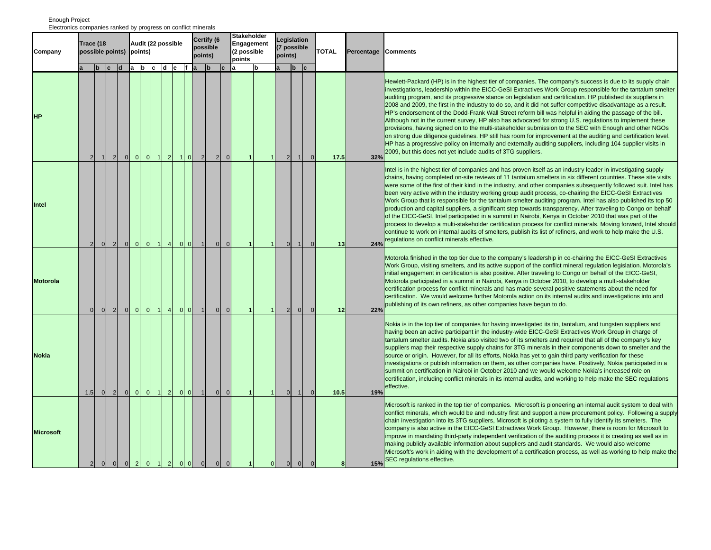|                  | Electronics companies ranked by progress on conflict minerals<br><b>Stakeholder</b> |                |                |                |                         |                |           |                |                |                                                |                            |                |                                     |                  |  |                                              |                |             |                |  |              |                 |                                                                                                                                                                                                                                                                                                                                                                                                                                                                                                                                                                                                                                                                                                                                                                                                                                                                                                                                                                                                                                                                                                   |
|------------------|-------------------------------------------------------------------------------------|----------------|----------------|----------------|-------------------------|----------------|-----------|----------------|----------------|------------------------------------------------|----------------------------|----------------|-------------------------------------|------------------|--|----------------------------------------------|----------------|-------------|----------------|--|--------------|-----------------|---------------------------------------------------------------------------------------------------------------------------------------------------------------------------------------------------------------------------------------------------------------------------------------------------------------------------------------------------------------------------------------------------------------------------------------------------------------------------------------------------------------------------------------------------------------------------------------------------------------------------------------------------------------------------------------------------------------------------------------------------------------------------------------------------------------------------------------------------------------------------------------------------------------------------------------------------------------------------------------------------------------------------------------------------------------------------------------------------|
| Company          | Trace (18<br>possible points)<br>b c d a b c d e f a                                |                |                | points)        | Audit (22 possible      |                |           |                |                | Certify (6<br>possible<br>points)<br><u>lb</u> |                            | lc.            | Engagement<br>(2 possible<br>points | lb               |  | Legislation<br>7 possible<br>points)<br>lb c |                |             | <b>TOTAL</b>   |  | Percentage   | <b>Comments</b> |                                                                                                                                                                                                                                                                                                                                                                                                                                                                                                                                                                                                                                                                                                                                                                                                                                                                                                                                                                                                                                                                                                   |
| <b>HP</b>        | $\overline{2}$                                                                      | $\mathbf{1}$   | $\overline{2}$ | $\overline{0}$ | 0                       | 0              | $\vert$ 1 | $\overline{2}$ | $\vert$ 1      | 0                                              | $\overline{2}$             | 2 <sub>l</sub> | $\Omega$                            |                  |  |                                              | $\overline{2}$ |             |                |  | 17.5         | 32%             | Hewlett-Packard (HP) is in the highest tier of companies. The company's success is due to its supply chain<br>investigations, leadership within the EICC-GeSI Extractives Work Group responsible for the tantalum smelter<br>auditing program, and its progressive stance on legislation and certification. HP published its suppliers in<br>2008 and 2009, the first in the industry to do so, and it did not suffer competitive disadvantage as a result.<br>HP's endorsement of the Dodd-Frank Wall Street reform bill was helpful in aiding the passage of the bill.<br>Although not in the current survey, HP also has advocated for strong U.S. regulations to implement these<br>provisions, having signed on to the multi-stakeholder submission to the SEC with Enough and other NGOs<br>on strong due diligence guidelines. HP still has room for improvement at the auditing and certification level.<br>HP has a progressive policy on internally and externally auditing suppliers, including 104 supplier visits in<br>2009, but this does not yet include audits of 3TG suppliers. |
| Intel            | $\overline{2}$                                                                      | $\overline{0}$ | $\overline{2}$ | $\overline{0}$ | $\overline{\mathbf{0}}$ | 0              | $\vert$ 1 | $\overline{4}$ |                | $ 0 $ $ 0 $                                    | $\overline{1}$             | 0              | $\Omega$                            |                  |  | $\mathbf{1}$                                 | $\overline{0}$ | -11         | $\overline{0}$ |  | 13           | 24%             | Intel is in the highest tier of companies and has proven itself as an industry leader in investigating supply<br>chains, having completed on-site reviews of 11 tantalum smelters in six different countries. These site visits<br>were some of the first of their kind in the industry, and other companies subsequently followed suit. Intel has<br>been very active within the industry working group audit process, co-chairing the EICC-GeSI Extractives<br>Work Group that is responsible for the tantalum smelter auditing program. Intel has also published its top 50<br>production and capital suppliers, a significant step towards transparency. After traveling to Congo on behalf<br>of the EICC-GeSI, Intel participated in a summit in Nairobi, Kenya in October 2010 that was part of the<br>process to develop a multi-stakeholder certification process for conflict minerals. Moving forward, Intel should<br>continue to work on internal audits of smelters, publish its list of refiners, and work to help make the U.S.<br>regulations on conflict minerals effective.    |
| <b>Motorola</b>  | $\Omega$                                                                            | 0              | $\overline{2}$ | $\overline{0}$ | 0                       | 0              | $\vert$ 1 | $\vert$ 4      | $\overline{0}$ | $\overline{0}$                                 | $\overline{1}$             | $\overline{0}$ | $\mathbf{0}$                        |                  |  | $\overline{1}$                               | $\overline{2}$ | $\Omega$    | $\Omega$       |  | 12           | 22%             | Motorola finished in the top tier due to the company's leadership in co-chairing the EICC-GeSI Extractives<br>Work Group, visiting smelters, and its active support of the conflict mineral regulation legislation. Motorola's<br>initial engagement in certification is also positive. After traveling to Congo on behalf of the EICC-GeSI,<br>Motorola participated in a summit in Nairobi, Kenya in October 2010, to develop a multi-stakeholder<br>certification process for conflict minerals and has made several positive statements about the need for<br>certification. We would welcome further Motorola action on its internal audits and investigations into and<br>publishing of its own refiners, as other companies have begun to do.                                                                                                                                                                                                                                                                                                                                              |
| <b>Nokia</b>     | 1.5                                                                                 | 0              | $\overline{2}$ | $\overline{0}$ | 0                       | $\overline{0}$ | $\vert$ 1 | $\overline{2}$ |                | $ 0 $ $ 0 $                                    | $\overline{1}$             | $\overline{0}$ | $\Omega$                            |                  |  | -1                                           | $\overline{0}$ | $\mathbf 1$ | $\Omega$       |  | 10.5         | 19%             | Nokia is in the top tier of companies for having investigated its tin, tantalum, and tungsten suppliers and<br>having been an active participant in the industry-wide EICC-GeSI Extractives Work Group in charge of<br>tantalum smelter audits. Nokia also visited two of its smelters and required that all of the company's key<br>suppliers map their respective supply chains for 3TG minerals in their components down to smelter and the<br>source or origin. However, for all its efforts, Nokia has yet to gain third party verification for these<br>investigations or publish information on them, as other companies have. Positively, Nokia participated in a<br>summit on certification in Nairobi in October 2010 and we would welcome Nokia's increased role on<br>certification, including conflict minerals in its internal audits, and working to help make the SEC regulations<br>effective.                                                                                                                                                                                   |
| <b>Microsoft</b> | 2 <sup>1</sup>                                                                      | $\Omega$       | $\Omega$       | $\overline{0}$ |                         |                |           |                |                |                                                | $2$ of 1 $2$ of 0 $\sigma$ | $\Omega$       | $\Omega$                            | $\blacksquare$ 1 |  | $\Omega$                                     | $\Omega$       | $\Omega$    | $\Omega$       |  | $\mathbf{a}$ | 15%             | Microsoft is ranked in the top tier of companies. Microsoft is pioneering an internal audit system to deal with<br>conflict minerals, which would be and industry first and support a new procurement policy. Following a supply<br>chain investigation into its 3TG suppliers, Microsoft is piloting a system to fully identify its smelters. The<br>company is also active in the EICC-GeSI Extractives Work Group. However, there is room for Microsoft to<br>improve in mandating third-party independent verification of the auditing process it is creating as well as in<br>making publicly available information about suppliers and audit standards. We would also welcome<br>Microsoft's work in aiding with the development of a certification process, as well as working to help make the<br>SEC regulations effective.                                                                                                                                                                                                                                                              |

Enough Project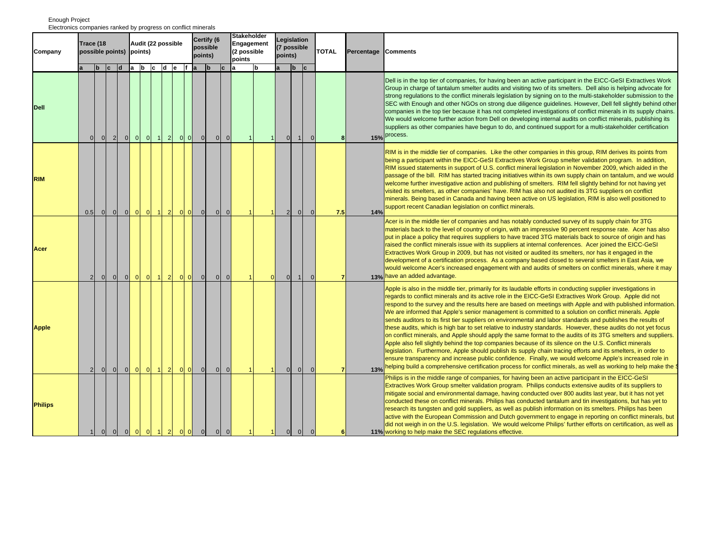|                | Electronics companies ranked by progress on conflict minerals<br><b>Stakeholder</b> |                |                   |                |                |                                                              |                                        |  |                |                     |                |                |                                     |   |                                       |                                  |              |              |            |                 |                                                                                                                                                                                                                                                                                                                                                                                                                                                                                                                                                                                                                                                                                                                                                                                                                                                                                                                                                                                                                                                                                                                                                                                                                                                            |
|----------------|-------------------------------------------------------------------------------------|----------------|-------------------|----------------|----------------|--------------------------------------------------------------|----------------------------------------|--|----------------|---------------------|----------------|----------------|-------------------------------------|---|---------------------------------------|----------------------------------|--------------|--------------|------------|-----------------|------------------------------------------------------------------------------------------------------------------------------------------------------------------------------------------------------------------------------------------------------------------------------------------------------------------------------------------------------------------------------------------------------------------------------------------------------------------------------------------------------------------------------------------------------------------------------------------------------------------------------------------------------------------------------------------------------------------------------------------------------------------------------------------------------------------------------------------------------------------------------------------------------------------------------------------------------------------------------------------------------------------------------------------------------------------------------------------------------------------------------------------------------------------------------------------------------------------------------------------------------------|
| Company        | Trace (18<br>possible points) points)                                               |                |                   |                |                | Audit (22 possible                                           |                                        |  |                | possible<br>points) | Certify (6     |                | Engagement<br>(2 possible<br>points |   | Legislation<br>(7 possible<br>points) |                                  |              | <b>TOTAL</b> | Percentage | <b>Comments</b> |                                                                                                                                                                                                                                                                                                                                                                                                                                                                                                                                                                                                                                                                                                                                                                                                                                                                                                                                                                                                                                                                                                                                                                                                                                                            |
|                |                                                                                     |                | $b \mid c \mid d$ |                |                | a b c d e f a                                                |                                        |  |                |                     | <sub>b</sub>   | lc.            |                                     | b |                                       | <sub>b</sub>                     | c            |              |            |                 |                                                                                                                                                                                                                                                                                                                                                                                                                                                                                                                                                                                                                                                                                                                                                                                                                                                                                                                                                                                                                                                                                                                                                                                                                                                            |
| <b>Dell</b>    | $\mathbf{0}$                                                                        | $\overline{0}$ | $\overline{2}$    | $\overline{0}$ | $\overline{0}$ | 0                                                            | $1 \quad 2$                            |  | $ 0 $ $ 0 $    | $\overline{0}$      | $\overline{0}$ | $\overline{0}$ |                                     |   | $\overline{0}$<br>$\overline{1}$      | $\vert$ 1                        | $\mathbf{0}$ |              | я          |                 | Dell is in the top tier of companies, for having been an active participant in the EICC-GeSI Extractives Work<br>Group in charge of tantalum smelter audits and visiting two of its smelters. Dell also is helping advocate for<br>strong regulations to the conflict minerals legislation by signing on to the multi-stakeholder submission to the<br>SEC with Enough and other NGOs on strong due diligence guidelines. However, Dell fell slightly behind other<br>companies in the top tier because it has not completed investigations of conflict minerals in its supply chains.<br>We would welcome further action from Dell on developing internal audits on conflict minerals, publishing its<br>suppliers as other companies have begun to do, and continued support for a multi-stakeholder certification<br>15% process.                                                                                                                                                                                                                                                                                                                                                                                                                       |
| <b>RIM</b>     | 0.5                                                                                 | $\overline{0}$ | 0                 | $\overline{0}$ | 0              | $\overline{0}$                                               | $1 \vert 2 \vert$                      |  | 0              | $\overline{0}$      | $\overline{0}$ | $\overline{0}$ |                                     |   |                                       | 2 <sup>1</sup><br>$\overline{0}$ | $\mathbf{0}$ |              | 7.5        | 14%             | RIM is in the middle tier of companies. Like the other companies in this group, RIM derives its points from<br>being a participant within the EICC-GeSI Extractives Work Group smelter validation program. In addition,<br>RIM issued statements in support of U.S. conflict mineral legislation in November 2009, which aided in the<br>passage of the bill. RIM has started tracing initiatives within its own supply chain on tantalum, and we would<br>welcome further investigative action and publishing of smelters. RIM fell slightly behind for not having yet<br>visited its smelters, as other companies' have. RIM has also not audited its 3TG suppliers on conflict<br>minerals. Being based in Canada and having been active on US legislation, RIM is also well positioned to<br>support recent Canadian legislation on conflict minerals.                                                                                                                                                                                                                                                                                                                                                                                                 |
| Acer           | 2                                                                                   | $\Omega$       | $\Omega$          | $\Omega$       | $\Omega$       | $\Omega$                                                     | $\blacktriangleleft$<br>$\overline{2}$ |  | $01$ 0         | $\overline{0}$      | $\overline{0}$ | $\Omega$       |                                     |   | $\overline{0}$                        |                                  |              |              |            |                 | Acer is in the middle tier of companies and has notably conducted survey of its supply chain for 3TG<br>materials back to the level of country of origin, with an impressive 90 percent response rate. Acer has also<br>put in place a policy that requires suppliers to have traced 3TG materials back to source of origin and has<br>raised the conflict minerals issue with its suppliers at internal conferences. Acer joined the EICC-GeSI<br>Extractives Work Group in 2009, but has not visited or audited its smelters, nor has it engaged in the<br>development of a certification process. As a company based closed to several smelters in East Asia, we<br>would welcome Acer's increased engagement with and audits of smelters on conflict minerals, where it may<br>13% have an added advantage.                                                                                                                                                                                                                                                                                                                                                                                                                                            |
| <b>Apple</b>   | $\overline{2}$                                                                      | $\circ$        | $\circ$           | $\overline{0}$ | $\overline{0}$ | $\overline{0}$                                               | $\overline{2}$<br>$\vert$ 1            |  | 0 <sub>0</sub> | $\overline{0}$      | $\overline{0}$ | $\overline{0}$ |                                     |   | $\overline{0}$                        | $\overline{0}$                   | $\Omega$     |              |            | 13%             | Apple is also in the middle tier, primarily for its laudable efforts in conducting supplier investigations in<br>regards to conflict minerals and its active role in the EICC-GeSI Extractives Work Group. Apple did not<br>respond to the survey and the results here are based on meetings with Apple and with published information.<br>We are informed that Apple's senior management is committed to a solution on conflict minerals. Apple<br>sends auditors to its first tier suppliers on environmental and labor standards and publishes the results of<br>these audits, which is high bar to set relative to industry standards. However, these audits do not yet focus<br>on conflict minerals, and Apple should apply the same format to the audits of its 3TG smelters and suppliers.<br>Apple also fell slightly behind the top companies because of its silence on the U.S. Conflict minerals<br>legislation. Furthermore, Apple should publish its supply chain tracing efforts and its smelters, in order to<br>ensure transparency and increase public confidence. Finally, we would welcome Apple's increased role in<br>helping build a comprehensive certification process for conflict minerals, as well as working to help make the |
| <b>Philips</b> | 1 <sup>1</sup>                                                                      | $\overline{0}$ | $\overline{0}$    | $ 0 $ $ 0 $    |                | $\begin{array}{ c c c c c }\n\hline\n0 & 1 & 2\n\end{array}$ |                                        |  | 0              | $\overline{0}$      | 0              | $\overline{0}$ |                                     |   | $\overline{0}$<br>$\vert$ 1           | $\overline{0}$                   | $\mathbf{0}$ |              | 6          |                 | Philips is in the middle range of companies, for having been an active participant in the EICC-GeSI<br>Extractives Work Group smelter validation program. Philips conducts extensive audits of its suppliers to<br>mitigate social and environmental damage, having conducted over 800 audits last year, but it has not yet<br>conducted these on conflict minerals. Philips has conducted tantalum and tin investigations, but has yet to<br>research its tungsten and gold suppliers, as well as publish information on its smelters. Philips has been<br>active with the European Commission and Dutch government to engage in reporting on conflict minerals, but<br>did not weigh in on the U.S. legislation. We would welcome Philips' further efforts on certification, as well as<br>11% working to help make the SEC regulations effective.                                                                                                                                                                                                                                                                                                                                                                                                       |

Enough Project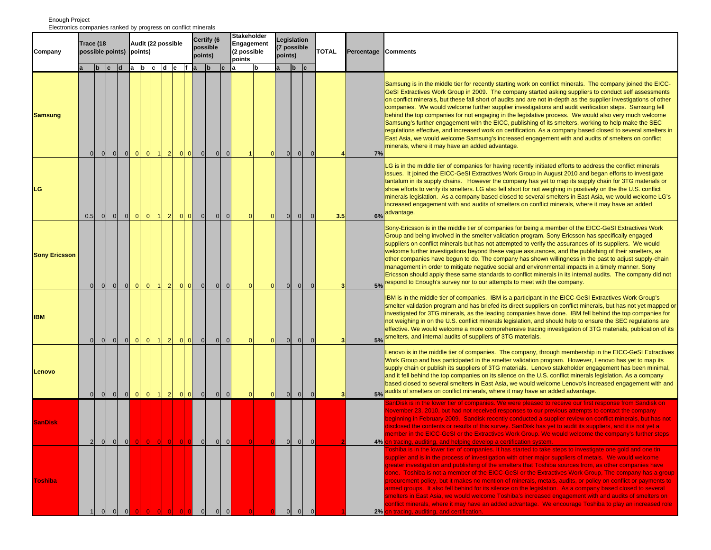## b c d a b c d e f a b c a b a b c **Company possible points) Points Points Points Points Points Points Percentage Comments Trace (18 Audit (22 possible Certify (6 possible points) Legislation (7 possible points) Stakeholder Engagement (2 possible points Samsung**  0 0 0 0 0 0 1 2 00 0 0 0 1 0 0 0 0 **4 7%**Samsung is in the middle tier for recently starting work on conflict minerals. The company joined the EICC-GeSI Extractives Work Group in 2009. The company started asking suppliers to conduct self assessments on conflict minerals, but these fall short of audits and are not in-depth as the supplier investigations of other companies. We would welcome further supplier investigations and audit verification steps. Samsung fell behind the top companies for not engaging in the legislative process. We would also very much welcome Samsung's further engagement with the EICC, publishing of its smelters, working to help make the SEC regulations effective, and increased work on certification. As a company based closed to several smelters in East Asia, we would welcome Samsung's increased engagement with and audits of smelters on conflict minerals, where it may have an added advantage. **LG**0.51 01 01 01 01 11 21 01 01 01 01 01 01 01 01 0 **3.5 6%**LG is in the middle tier of companies for having recently initiated efforts to address the conflict minerals issues. It joined the EICC-GeSI Extractives Work Group in August 2010 and began efforts to investigate tantalum in its supply chains. However the company has yet to map its supply chain for 3TG materials or show efforts to verify its smelters. LG also fell short for not weighing in positively on the the U.S. conflict minerals legislation. As a company based closed to several smelters in East Asia, we would welcome LG's increased engagement with and audits of smelters on conflict minerals, where it may have an added advantage. **Sony Ericsson** 0 0 0 0 0 0 1 2 0 0 0 0 0 0 0 0 0 0 0 0 **3 5%**Sony-Ericsson is in the middle tier of companies for being a member of the EICC-GeSI Extractives Work Group and being involved in the smelter validation program. Sony Ericsson has specifically engaged suppliers on conflict minerals but has not attempted to verify the assurances of its suppliers. We would welcome further investigations beyond these vague assurances, and the publishing of their smelters, as other companies have begun to do. The company has shown willingness in the past to adjust supply-chain management in order to mitigate negative social and environmental impacts in a timely manner. Sony Ericsson should apply these same standards to conflict minerals in its internal audits. The company did not respond to Enough's survey nor to our attempts to meet with the company. **IBM** 0 0 0 0 0 0 1 2 0 0 0 0 0 0 0 0 0 0 0 0 **3 5%**IBM is in the middle tier of companies. IBM is a participant in the EICC-GeSI Extractives Work Group's smelter validation program and has briefed its direct suppliers on conflict minerals, but has not yet mapped or investigated for 3TG minerals, as the leading companies have done. IBM fell behind the top companies for not weighing in on the U.S. conflict minerals legislation, and should help to ensure the SEC regulations are effective. We would welcome a more comprehensive tracing investigation of 3TG materials, publication of its smelters, and internal audits of suppliers of 3TG materials. **Lenovo** 0 0 0 0 0 0 1 2 0 0 0 0 0 0 0 0 0 0 0 0 **3 5%**Lenovo is in the middle tier of companies. The company, through membership in the EICC-GeSI Extractives Work Group and has participated in the smelter validation program. However, Lenovo has yet to map its supply chain or publish its suppliers of 3TG materials. Lenovo stakeholder engagement has been minimal, and it fell behind the top companies on its silence on the U.S. conflict minerals legislation. As a company based closed to several smelters in East Asia, we would welcome Lenovo's increased engagement with and audits of smelters on conflict minerals, where it may have an added advantage. **SanDisk** 210 010 <mark>010 010 010</mark> 010 010 <mark>10 010</mark> 010 010 **2 4%**anDisk is in the lower tier of companies. We were pleased to receive our first response from Sandisk on lovember 23, 2010, but had not received responses to our previous attempts to contact the company eginning in February 2009. Sandisk recently conducted a supplier review on conflict minerals, but has not lisclosed the contents or results of this survey. SanDisk has yet to audit its suppliers, and it is not yet a member in the EICC-GeSI or the Extractives Work Group. We would welcome the company's further steps In tracing, auditing, and helping develop a certification system. **Toshiba** oshiba is in the lower tier of companies. It has started to take steps to investigate one gold and one tin upplier and is in the process of investigation with other major suppliers of metals. We would welcome reater investigation and publishing of the smelters that Toshiba sources from, as other companies have done. Toshiba is not a member of the EICC-GeSI or the Extractives Work Group, The company has a group procurement policy, but it makes no mention of minerals, metals, audits, or policy on conflict or payments to armed groups. It also fell behind for its silence on the legislation. As a company based closed to several melters in East Asia, we would welcome Toshiba's increased engagement with and audits of smelters on conflict minerals, where it may have an added advantage. We encourage Toshiba to play an increased role

**1 2%**

tracing, auditing, and certification.

## Enough Project Electronics companies ranked by progress on conflict minerals

1 0 0 0 0 0 0 0 00 0 0 0 0 0 0 0 0